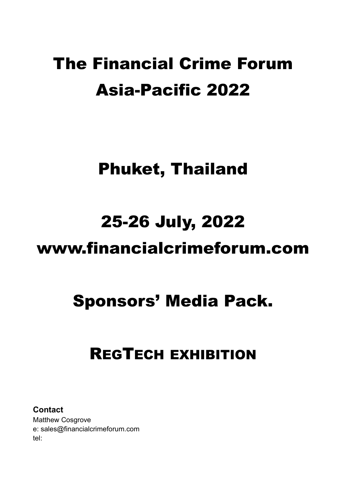# The Financial Crime Forum Asia-Pacific 2022

## Phuket, Thailand

# 25-26 July, 2022

## www.financialcrimeforum.com

# Sponsors' Media Pack.

## REGTECH EXHIBITION

**Contact** Matthew Cosgrove e: sales@financialcrimeforum.com tel: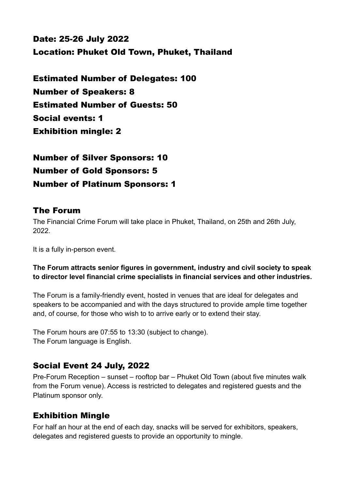Date: 25-26 July 2022 Location: Phuket Old Town, Phuket, Thailand

Estimated Number of Delegates: 100 Number of Speakers: 8 Estimated Number of Guests: 50 Social events: 1 Exhibition mingle: 2

Number of Silver Sponsors: 10 Number of Gold Sponsors: 5 Number of Platinum Sponsors: 1

#### The Forum

The Financial Crime Forum will take place in Phuket, Thailand, on 25th and 26th July, 2022.

It is a fully in-person event.

#### **The Forum attracts senior figures in government, industry and civil society to speak to director level financial crime specialists in financial services and other industries.**

The Forum is a family-friendly event, hosted in venues that are ideal for delegates and speakers to be accompanied and with the days structured to provide ample time together and, of course, for those who wish to to arrive early or to extend their stay.

The Forum hours are 07:55 to 13:30 (subject to change). The Forum language is English.

#### Social Event 24 July, 2022

Pre-Forum Reception – sunset – rooftop bar – Phuket Old Town (about five minutes walk from the Forum venue). Access is restricted to delegates and registered guests and the Platinum sponsor only.

#### Exhibition Mingle

For half an hour at the end of each day, snacks will be served for exhibitors, speakers, delegates and registered guests to provide an opportunity to mingle.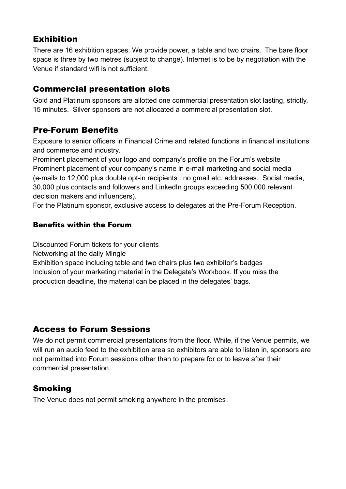### Exhibition

There are 16 exhibition spaces. We provide power, a table and two chairs. The bare floor space is three by two metres (subject to change). Internet is to be by negotiation with the Venue if standard wifi is not sufficient.

## Commercial presentation slots

Gold and Platinum sponsors are allotted one commercial presentation slot lasting, strictly, 15 minutes. Silver sponsors are not allocated a commercial presentation slot.

### Pre-Forum Benefits

Exposure to senior officers in Financial Crime and related functions in financial institutions and commerce and industry.

Prominent placement of your logo and company's profile on the Forum's website Prominent placement of your company's name in e-mail marketing and social media (e-mails to 12,000 plus double opt-in recipients : no gmail etc. addresses. Social media, 30,000 plus contacts and followers and LinkedIn groups exceeding 500,000 relevant decision makers and influencers).

For the Platinum sponsor, exclusive access to delegates at the Pre-Forum Reception.

#### Benefits within the Forum

Discounted Forum tickets for your clients

Networking at the daily Mingle

Exhibition space including table and two chairs plus two exhibitor's badges Inclusion of your marketing material in the Delegate's Workbook. If you miss the production deadline, the material can be placed in the delegates' bags.

### Access to Forum Sessions

We do not permit commercial presentations from the floor. While, if the Venue permits, we will run an audio feed to the exhibition area so exhibitors are able to listen in, sponsors are not permitted into Forum sessions other than to prepare for or to leave after their commercial presentation.

## Smoking

The Venue does not permit smoking anywhere in the premises.